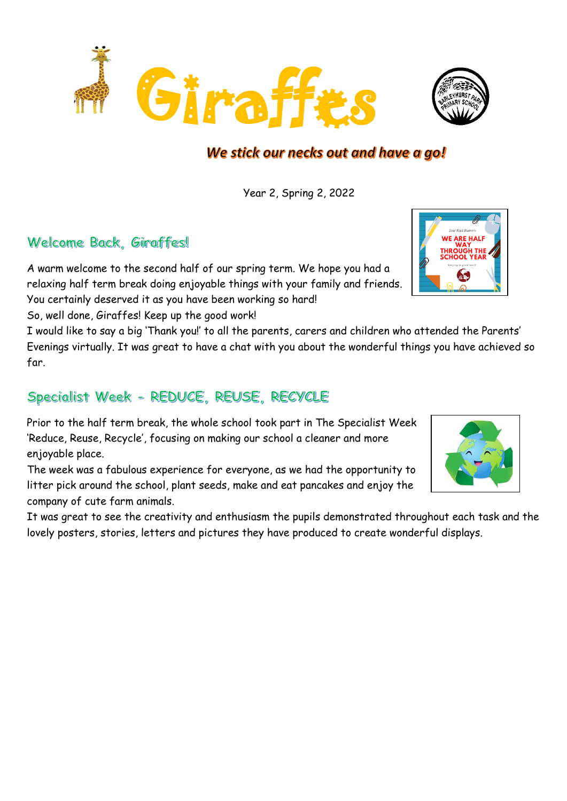

# We stick our necks out and have a go!

Year 2, Spring 2, 2022

### Welcome Back, Giraffes!

A warm welcome to the second half of our spring term. We hope you had a relaxing half term break doing enjoyable things with your family and friends. You certainly deserved it as you have been working so hard!

So, well done, Giraffes! Keep up the good work!

I would like to say a big 'Thank you!' to all the parents, carers and children who attended the Parents' Evenings virtually. It was great to have a chat with you about the wonderful things you have achieved so far.

# Specialist Week - REDUCE, REUSE, RECYCLE

Prior to the half term break, the whole school took part in The Specialist Week 'Reduce, Reuse, Recycle', focusing on making our school a cleaner and more enjoyable place.

The week was a fabulous experience for everyone, as we had the opportunity to litter pick around the school, plant seeds, make and eat pancakes and enjoy the company of cute farm animals.

It was great to see the creativity and enthusiasm the pupils demonstrated throughout each task and the lovely posters, stories, letters and pictures they have produced to create wonderful displays.